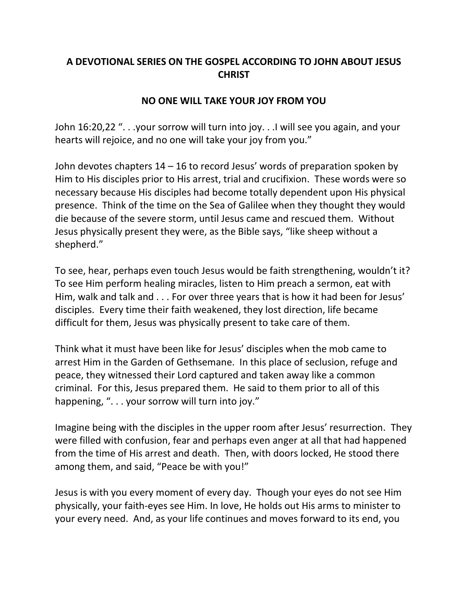## **A DEVOTIONAL SERIES ON THE GOSPEL ACCORDING TO JOHN ABOUT JESUS CHRIST**

## **NO ONE WILL TAKE YOUR JOY FROM YOU**

John 16:20,22 ". . .your sorrow will turn into joy. . .I will see you again, and your hearts will rejoice, and no one will take your joy from you."

John devotes chapters 14 – 16 to record Jesus' words of preparation spoken by Him to His disciples prior to His arrest, trial and crucifixion. These words were so necessary because His disciples had become totally dependent upon His physical presence. Think of the time on the Sea of Galilee when they thought they would die because of the severe storm, until Jesus came and rescued them. Without Jesus physically present they were, as the Bible says, "like sheep without a shepherd."

To see, hear, perhaps even touch Jesus would be faith strengthening, wouldn't it? To see Him perform healing miracles, listen to Him preach a sermon, eat with Him, walk and talk and . . . For over three years that is how it had been for Jesus' disciples. Every time their faith weakened, they lost direction, life became difficult for them, Jesus was physically present to take care of them.

Think what it must have been like for Jesus' disciples when the mob came to arrest Him in the Garden of Gethsemane. In this place of seclusion, refuge and peace, they witnessed their Lord captured and taken away like a common criminal. For this, Jesus prepared them. He said to them prior to all of this happening, ". . . your sorrow will turn into joy."

Imagine being with the disciples in the upper room after Jesus' resurrection. They were filled with confusion, fear and perhaps even anger at all that had happened from the time of His arrest and death. Then, with doors locked, He stood there among them, and said, "Peace be with you!"

Jesus is with you every moment of every day. Though your eyes do not see Him physically, your faith-eyes see Him. In love, He holds out His arms to minister to your every need. And, as your life continues and moves forward to its end, you